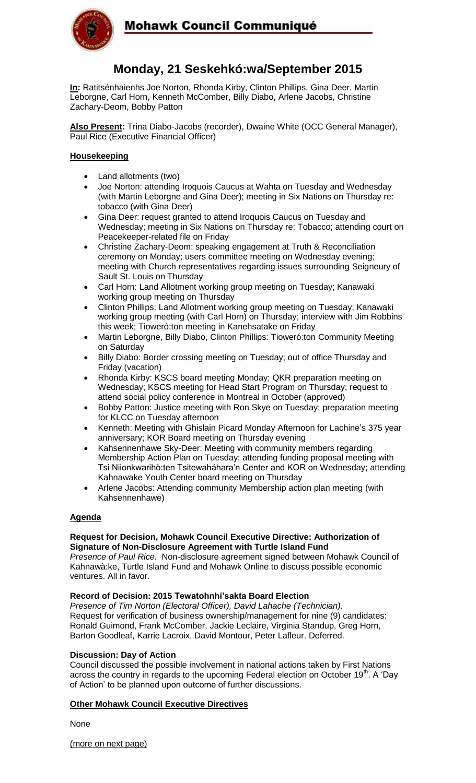

## Mohawk Council Communiqué

### **Monday, 21 Seskehkó:wa/September 2015**

**In:** Ratitsénhaienhs Joe Norton, Rhonda Kirby, Clinton Phillips, Gina Deer, Martin Leborgne, Carl Horn, Kenneth McComber, Billy Diabo, Arlene Jacobs, Christine Zachary-Deom, Bobby Patton

**Also Present:** Trina Diabo-Jacobs (recorder), Dwaine White (OCC General Manager), Paul Rice (Executive Financial Officer)

#### **Housekeeping**

- Land allotments (two)
- Joe Norton: attending Iroquois Caucus at Wahta on Tuesday and Wednesday (with Martin Leborgne and Gina Deer); meeting in Six Nations on Thursday re: tobacco (with Gina Deer)
- Gina Deer: request granted to attend Iroquois Caucus on Tuesday and Wednesday; meeting in Six Nations on Thursday re: Tobacco; attending court on Peacekeeper-related file on Friday
- Christine Zachary-Deom: speaking engagement at Truth & Reconciliation ceremony on Monday; users committee meeting on Wednesday evening; meeting with Church representatives regarding issues surrounding Seigneury of Sault St. Louis on Thursday
- Carl Horn: Land Allotment working group meeting on Tuesday; Kanawaki working group meeting on Thursday
- Clinton Phillips: Land Allotment working group meeting on Tuesday; Kanawaki working group meeting (with Carl Horn) on Thursday; interview with Jim Robbins this week; Tioweró:ton meeting in Kanehsatake on Friday
- Martin Leborgne, Billy Diabo, Clinton Phillips: Tioweró:ton Community Meeting on Saturday
- Billy Diabo: Border crossing meeting on Tuesday; out of office Thursday and Friday (vacation)
- Rhonda Kirby: KSCS board meeting Monday; QKR preparation meeting on Wednesday; KSCS meeting for Head Start Program on Thursday; request to attend social policy conference in Montreal in October (approved)
- Bobby Patton: Justice meeting with Ron Skye on Tuesday; preparation meeting for KLCC on Tuesday afternoon
- Kenneth: Meeting with Ghislain Picard Monday Afternoon for Lachine's 375 year anniversary; KOR Board meeting on Thursday evening
- Kahsennenhawe Sky-Deer: Meeting with community members regarding Membership Action Plan on Tuesday; attending funding proposal meeting with Tsi Niionkwarihò:ten Tsitewaháhara'n Center and KOR on Wednesday; attending Kahnawake Youth Center board meeting on Thursday
- Arlene Jacobs: Attending community Membership action plan meeting (with Kahsennenhawe)

#### **Agenda**

#### **Request for Decision, Mohawk Council Executive Directive: Authorization of Signature of Non-Disclosure Agreement with Turtle Island Fund**

*Presence of Paul Rice.* Non-disclosure agreement signed between Mohawk Council of Kahnawà:ke, Turtle Island Fund and Mohawk Online to discuss possible economic ventures. All in favor.

#### **Record of Decision: 2015 Tewatohnhi'sakta Board Election**

*Presence of Tim Norton (Electoral Officer), David Lahache (Technician).* Request for verification of business ownership/management for nine (9) candidates: Ronald Guimond, Frank McComber, Jackie Leclaire, Virginia Standup, Greg Horn, Barton Goodleaf, Karrie Lacroix, David Montour, Peter Lafleur. Deferred.

#### **Discussion: Day of Action**

Council discussed the possible involvement in national actions taken by First Nations across the country in regards to the upcoming Federal election on October 19<sup>th</sup>. A 'Day of Action' to be planned upon outcome of further discussions.

### **Other Mohawk Council Executive Directives**

**None** 

(more on next page)